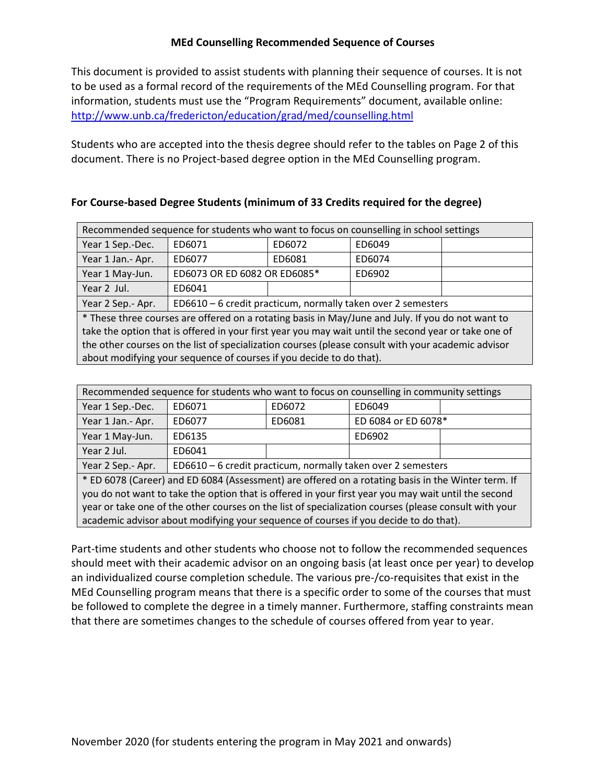## **MEd Counselling Recommended Sequence of Courses**

This document is provided to assist students with planning their sequence of courses. It is not to be used as a formal record of the requirements of the MEd Counselling program. For that information, students must use the "Program Requirements" document, available online: <http://www.unb.ca/fredericton/education/grad/med/counselling.html>

Students who are accepted into the thesis degree should refer to the tables on Page 2 of this document. There is no Project-based degree option in the MEd Counselling program.

## **For Course-based Degree Students (minimum of 33 Credits required for the degree)**

| Recommended sequence for students who want to focus on counselling in school settings                |                                                              |        |        |  |
|------------------------------------------------------------------------------------------------------|--------------------------------------------------------------|--------|--------|--|
| Year 1 Sep.-Dec.                                                                                     | ED6071                                                       | ED6072 | ED6049 |  |
| Year 1 Jan.- Apr.                                                                                    | ED6077                                                       | ED6081 | ED6074 |  |
| Year 1 May-Jun.                                                                                      | ED6073 OR ED 6082 OR ED6085*                                 |        | ED6902 |  |
| Year 2 Jul.                                                                                          | ED6041                                                       |        |        |  |
| Year 2 Sep.- Apr.                                                                                    | ED6610 - 6 credit practicum, normally taken over 2 semesters |        |        |  |
| * These three courses are offered on a rotating basis in May/June and July. If you do not want to    |                                                              |        |        |  |
| take the option that is offered in your first year you may wait until the second year or take one of |                                                              |        |        |  |
| the other courses on the list of specialization courses (please consult with your academic advisor   |                                                              |        |        |  |
| about modifying your sequence of courses if you decide to do that).                                  |                                                              |        |        |  |

| Recommended sequence for students who want to focus on counselling in community settings              |                                                              |        |                     |  |
|-------------------------------------------------------------------------------------------------------|--------------------------------------------------------------|--------|---------------------|--|
| Year 1 Sep.-Dec.                                                                                      | ED6071                                                       | ED6072 | ED6049              |  |
| Year 1 Jan.- Apr.                                                                                     | ED6077                                                       | ED6081 | ED 6084 or ED 6078* |  |
| Year 1 May-Jun.                                                                                       | ED6135                                                       |        | ED6902              |  |
| Year 2 Jul.                                                                                           | ED6041                                                       |        |                     |  |
| Year 2 Sep.- Apr.                                                                                     | ED6610 - 6 credit practicum, normally taken over 2 semesters |        |                     |  |
| * ED 6078 (Career) and ED 6084 (Assessment) are offered on a rotating basis in the Winter term. If    |                                                              |        |                     |  |
| you do not want to take the option that is offered in your first year you may wait until the second   |                                                              |        |                     |  |
| year or take one of the other courses on the list of specialization courses (please consult with your |                                                              |        |                     |  |
| academic advisor about modifying your sequence of courses if you decide to do that).                  |                                                              |        |                     |  |

Part-time students and other students who choose not to follow the recommended sequences should meet with their academic advisor on an ongoing basis (at least once per year) to develop an individualized course completion schedule. The various pre-/co-requisites that exist in the MEd Counselling program means that there is a specific order to some of the courses that must be followed to complete the degree in a timely manner. Furthermore, staffing constraints mean that there are sometimes changes to the schedule of courses offered from year to year.